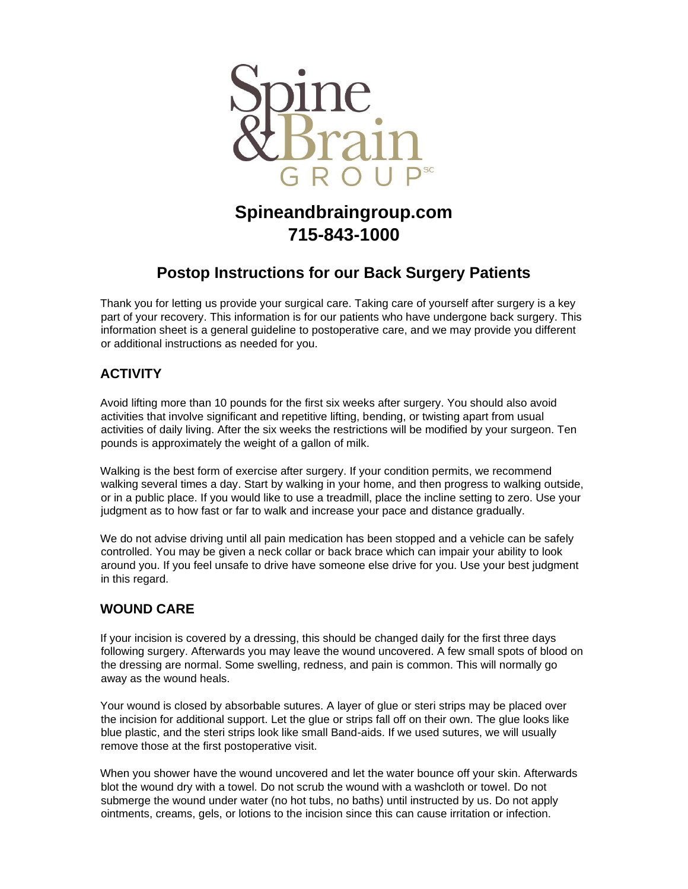

# **Spineandbraingroup.com 715-843-1000**

## **Postop Instructions for our Back Surgery Patients**

Thank you for letting us provide your surgical care. Taking care of yourself after surgery is a key part of your recovery. This information is for our patients who have undergone back surgery. This information sheet is a general guideline to postoperative care, and we may provide you different or additional instructions as needed for you.

#### **ACTIVITY**

Avoid lifting more than 10 pounds for the first six weeks after surgery. You should also avoid activities that involve significant and repetitive lifting, bending, or twisting apart from usual activities of daily living. After the six weeks the restrictions will be modified by your surgeon. Ten pounds is approximately the weight of a gallon of milk.

Walking is the best form of exercise after surgery. If your condition permits, we recommend walking several times a day. Start by walking in your home, and then progress to walking outside, or in a public place. If you would like to use a treadmill, place the incline setting to zero. Use your judgment as to how fast or far to walk and increase your pace and distance gradually.

We do not advise driving until all pain medication has been stopped and a vehicle can be safely controlled. You may be given a neck collar or back brace which can impair your ability to look around you. If you feel unsafe to drive have someone else drive for you. Use your best judgment in this regard.

#### **WOUND CARE**

If your incision is covered by a dressing, this should be changed daily for the first three days following surgery. Afterwards you may leave the wound uncovered. A few small spots of blood on the dressing are normal. Some swelling, redness, and pain is common. This will normally go away as the wound heals.

Your wound is closed by absorbable sutures. A layer of glue or steri strips may be placed over the incision for additional support. Let the glue or strips fall off on their own. The glue looks like blue plastic, and the steri strips look like small Band-aids. If we used sutures, we will usually remove those at the first postoperative visit.

When you shower have the wound uncovered and let the water bounce off your skin. Afterwards blot the wound dry with a towel. Do not scrub the wound with a washcloth or towel. Do not submerge the wound under water (no hot tubs, no baths) until instructed by us. Do not apply ointments, creams, gels, or lotions to the incision since this can cause irritation or infection.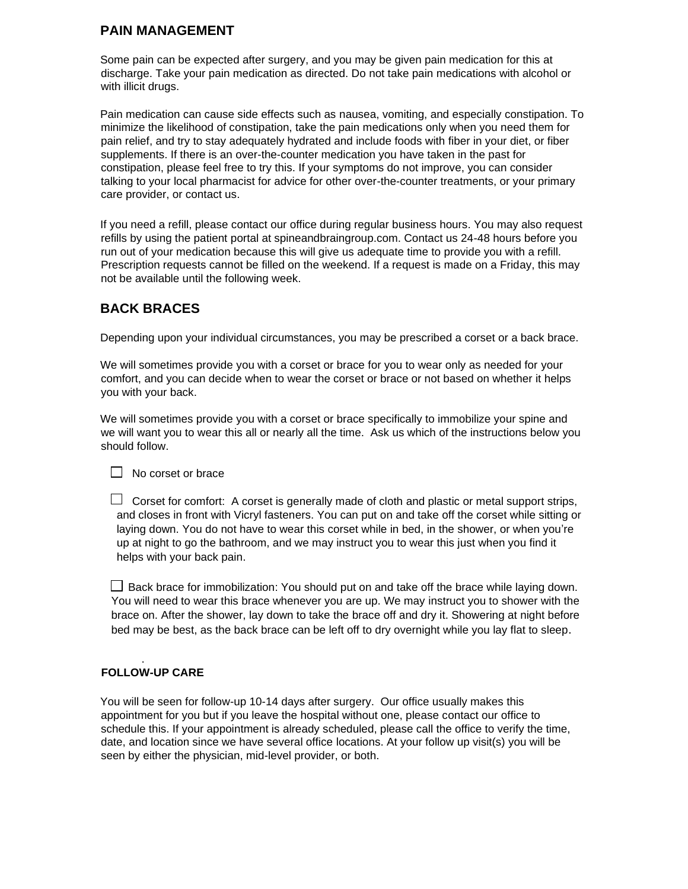#### **PAIN MANAGEMENT**

Some pain can be expected after surgery, and you may be given pain medication for this at discharge. Take your pain medication as directed. Do not take pain medications with alcohol or with illicit drugs.

Pain medication can cause side effects such as nausea, vomiting, and especially constipation. To minimize the likelihood of constipation, take the pain medications only when you need them for pain relief, and try to stay adequately hydrated and include foods with fiber in your diet, or fiber supplements. If there is an over-the-counter medication you have taken in the past for constipation, please feel free to try this. If your symptoms do not improve, you can consider talking to your local pharmacist for advice for other over-the-counter treatments, or your primary care provider, or contact us.

If you need a refill, please contact our office during regular business hours. You may also request refills by using the patient portal at spineandbraingroup.com. Contact us 24-48 hours before you run out of your medication because this will give us adequate time to provide you with a refill. Prescription requests cannot be filled on the weekend. If a request is made on a Friday, this may not be available until the following week.

### **BACK BRACES**

Depending upon your individual circumstances, you may be prescribed a corset or a back brace.

We will sometimes provide you with a corset or brace for you to wear only as needed for your comfort, and you can decide when to wear the corset or brace or not based on whether it helps you with your back.

We will sometimes provide you with a corset or brace specifically to immobilize your spine and we will want you to wear this all or nearly all the time. Ask us which of the instructions below you should follow.

 $\Box$  No corset or brace

 $\Box$  Corset for comfort: A corset is generally made of cloth and plastic or metal support strips, and closes in front with Vicryl fasteners. You can put on and take off the corset while sitting or laying down. You do not have to wear this corset while in bed, in the shower, or when you're up at night to go the bathroom, and we may instruct you to wear this just when you find it helps with your back pain.

 $\Box$  Back brace for immobilization: You should put on and take off the brace while laying down. You will need to wear this brace whenever you are up. We may instruct you to shower with the brace on. After the shower, lay down to take the brace off and dry it. Showering at night before bed may be best, as the back brace can be left off to dry overnight while you lay flat to sleep.

#### . **FOLLOW-UP CARE**

You will be seen for follow-up 10-14 days after surgery. Our office usually makes this appointment for you but if you leave the hospital without one, please contact our office to schedule this. If your appointment is already scheduled, please call the office to verify the time, date, and location since we have several office locations. At your follow up visit(s) you will be seen by either the physician, mid-level provider, or both.